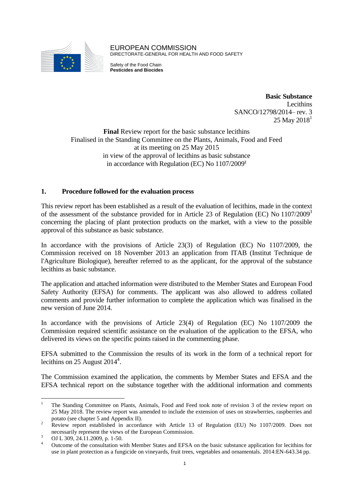

EUROPEAN COMMISSION DIRECTORATE-GENERAL FOR HEALTH AND FOOD SAFETY

Safety of the Food Chain **Pesticides and Biocides**

> **Basic Substance** Lecithins SANCO/12798/2014– rev. 3  $25$  May  $2018<sup>1</sup>$

**Final** Review report for the basic substance lecithins Finalised in the Standing Committee on the Plants, Animals, Food and Feed at its meeting on 25 May 2015 in view of the approval of lecithins as basic substance in accordance with Regulation (EC) No 1107/2009**<sup>2</sup>**

## **1. Procedure followed for the evaluation process**

This review report has been established as a result of the evaluation of lecithins, made in the context of the assessment of the substance provided for in Article 23 of Regulation (EC) No  $1107/2009^3$ concerning the placing of plant protection products on the market, with a view to the possible approval of this substance as basic substance.

In accordance with the provisions of Article 23(3) of Regulation (EC) No 1107/2009, the Commission received on 18 November 2013 an application from ITAB (Institut Technique de l'Agriculture Biologique), hereafter referred to as the applicant, for the approval of the substance lecithins as basic substance.

The application and attached information were distributed to the Member States and European Food Safety Authority (EFSA) for comments. The applicant was also allowed to address collated comments and provide further information to complete the application which was finalised in the new version of June 2014.

In accordance with the provisions of Article 23(4) of Regulation (EC) No 1107/2009 the Commission required scientific assistance on the evaluation of the application to the EFSA, who delivered its views on the specific points raised in the commenting phase.

EFSA submitted to the Commission the results of its work in the form of a technical report for lecithins on 25 August  $2014^4$ .

The Commission examined the application, the comments by Member States and EFSA and the EFSA technical report on the substance together with the additional information and comments

 $\overline{a}$ 

<sup>1</sup> The Standing Committee on Plants, Animals, Food and Feed took note of revision 3 of the review report on 25 May 2018. The review report was amended to include the extension of uses on strawberries, raspberries and potato (see chapter 5 and Appendix II).

<sup>&</sup>lt;sup>2</sup> Review report established in accordance with Article 13 of Regulation (EU) No 1107/2009. Does not necessarily represent the views of the European Commission.

 $3 \over 4 \overline{$  OJ L 309, 24.11.2009, p. 1-50.

<sup>4</sup> Outcome of the consultation with Member States and EFSA on the basic substance application for lecithins for use in plant protection as a fungicide on vineyards, fruit trees, vegetables and ornamentals. 2014:EN-643.34 pp.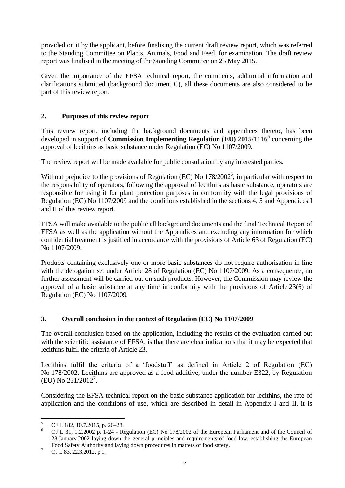provided on it by the applicant, before finalising the current draft review report, which was referred to the Standing Committee on Plants, Animals, Food and Feed, for examination. The draft review report was finalised in the meeting of the Standing Committee on 25 May 2015.

Given the importance of the EFSA technical report, the comments, additional information and clarifications submitted (background document C), all these documents are also considered to be part of this review report.

# **2. Purposes of this review report**

This review report, including the background documents and appendices thereto, has been developed in support of **Commission Implementing Regulation (EU) 2015/1116<sup>5</sup>** concerning the approval of lecithins as basic substance under Regulation (EC) No 1107/2009.

The review report will be made available for public consultation by any interested parties.

Without prejudice to the provisions of Regulation (EC) No  $178/2002^6$ , in particular with respect to the responsibility of operators, following the approval of lecithins as basic substance, operators are responsible for using it for plant protection purposes in conformity with the legal provisions of Regulation (EC) No 1107/2009 and the conditions established in the sections 4, 5 and Appendices I and II of this review report.

EFSA will make available to the public all background documents and the final Technical Report of EFSA as well as the application without the Appendices and excluding any information for which confidential treatment is justified in accordance with the provisions of Article 63 of Regulation (EC) No 1107/2009.

Products containing exclusively one or more basic substances do not require authorisation in line with the derogation set under Article 28 of Regulation (EC) No 1107/2009. As a consequence, no further assessment will be carried out on such products. However, the Commission may review the approval of a basic substance at any time in conformity with the provisions of Article 23(6) of Regulation (EC) No 1107/2009.

#### **3. Overall conclusion in the context of Regulation (EC) No 1107/2009**

The overall conclusion based on the application, including the results of the evaluation carried out with the scientific assistance of EFSA, is that there are clear indications that it may be expected that lecithins fulfil the criteria of Article 23.

Lecithins fulfil the criteria of a 'foodstuff' as defined in Article 2 of Regulation (EC) No 178/2002. Lecithins are approved as a food additive, under the number E322, by Regulation (EU) No 231/2012<sup>7</sup>.

Considering the EFSA technical report on the basic substance application for lecithins, the rate of application and the conditions of use, which are described in detail in Appendix I and II, it is

 $\overline{a}$  $\frac{5}{6}$  OJ L 182, 10.7.2015, p. 26–28.

<sup>6</sup> OJ L 31, 1.2.2002 p. 1-24 - Regulation (EC) No 178/2002 of the European Parliament and of the Council of 28 January 2002 laying down the general principles and requirements of food law, establishing the European Food Safety Authority and laying down procedures in matters of food safety.

 $7 \over 0$  OJ L 83, 22.3.2012, p 1.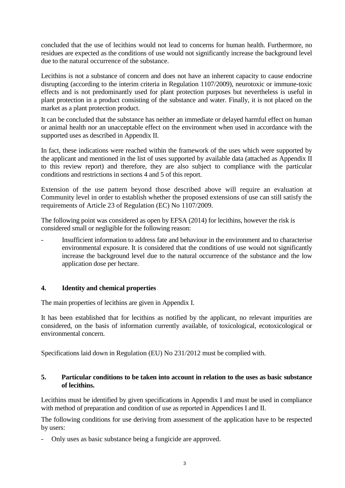concluded that the use of lecithins would not lead to concerns for human health. Furthermore, no residues are expected as the conditions of use would not significantly increase the background level due to the natural occurrence of the substance.

Lecithins is not a substance of concern and does not have an inherent capacity to cause endocrine disrupting (according to the interim criteria in Regulation 1107/2009), neurotoxic or immune-toxic effects and is not predominantly used for plant protection purposes but nevertheless is useful in plant protection in a product consisting of the substance and water. Finally, it is not placed on the market as a plant protection product.

It can be concluded that the substance has neither an immediate or delayed harmful effect on human or animal health nor an unacceptable effect on the environment when used in accordance with the supported uses as described in Appendix II.

In fact, these indications were reached within the framework of the uses which were supported by the applicant and mentioned in the list of uses supported by available data (attached as Appendix II to this review report) and therefore, they are also subject to compliance with the particular conditions and restrictions in sections 4 and 5 of this report.

Extension of the use pattern beyond those described above will require an evaluation at Community level in order to establish whether the proposed extensions of use can still satisfy the requirements of Article 23 of Regulation (EC) No 1107/2009.

The following point was considered as open by EFSA (2014) for lecithins, however the risk is considered small or negligible for the following reason:

Insufficient information to address fate and behaviour in the environment and to characterise environmental exposure. It is considered that the conditions of use would not significantly increase the background level due to the natural occurrence of the substance and the low application dose per hectare.

#### **4. Identity and chemical properties**

The main properties of lecithins are given in Appendix I.

It has been established that for lecithins as notified by the applicant, no relevant impurities are considered, on the basis of information currently available, of toxicological, ecotoxicological or environmental concern.

Specifications laid down in Regulation (EU) No 231/2012 must be complied with.

#### **5. Particular conditions to be taken into account in relation to the uses as basic substance of lecithins.**

Lecithins must be identified by given specifications in Appendix I and must be used in compliance with method of preparation and condition of use as reported in Appendices I and II.

The following conditions for use deriving from assessment of the application have to be respected by users:

- Only uses as basic substance being a fungicide are approved.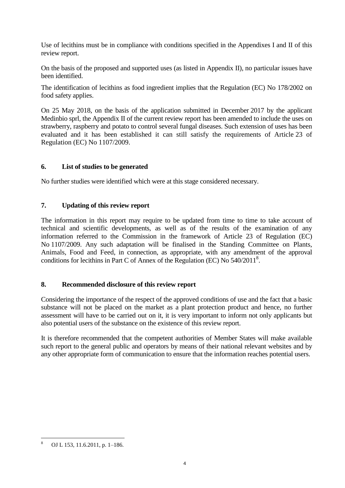Use of lecithins must be in compliance with conditions specified in the Appendixes I and II of this review report.

On the basis of the proposed and supported uses (as listed in Appendix II), no particular issues have been identified.

The identification of lecithins as food ingredient implies that the Regulation (EC) No 178/2002 on food safety applies.

On 25 May 2018, on the basis of the application submitted in December 2017 by the applicant Medinbio sprl, the Appendix II of the current review report has been amended to include the uses on strawberry, raspberry and potato to control several fungal diseases. Such extension of uses has been evaluated and it has been established it can still satisfy the requirements of Article 23 of Regulation (EC) No 1107/2009.

#### **6. List of studies to be generated**

No further studies were identified which were at this stage considered necessary.

## **7. Updating of this review report**

The information in this report may require to be updated from time to time to take account of technical and scientific developments, as well as of the results of the examination of any information referred to the Commission in the framework of Article 23 of Regulation (EC) No 1107/2009. Any such adaptation will be finalised in the Standing Committee on Plants, Animals, Food and Feed, in connection, as appropriate, with any amendment of the approval conditions for lecithins in Part C of Annex of the Regulation (EC) No  $540/2011^8$ .

#### **8. Recommended disclosure of this review report**

Considering the importance of the respect of the approved conditions of use and the fact that a basic substance will not be placed on the market as a plant protection product and hence, no further assessment will have to be carried out on it, it is very important to inform not only applicants but also potential users of the substance on the existence of this review report.

It is therefore recommended that the competent authorities of Member States will make available such report to the general public and operators by means of their national relevant websites and by any other appropriate form of communication to ensure that the information reaches potential users.

 $\overline{a}$ <sup>8</sup> OJ L 153, 11.6.2011, p. 1–186.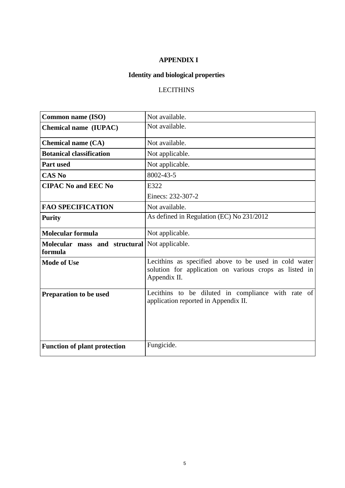# **APPENDIX I**

# **Identity and biological properties**

# **LECITHINS**

| <b>Common name (ISO)</b>                                 | Not available.                                                                                                                  |
|----------------------------------------------------------|---------------------------------------------------------------------------------------------------------------------------------|
| <b>Chemical name (IUPAC)</b>                             | Not available.                                                                                                                  |
| <b>Chemical name (CA)</b>                                | Not available.                                                                                                                  |
| <b>Botanical classification</b>                          | Not applicable.                                                                                                                 |
| <b>Part used</b>                                         | Not applicable.                                                                                                                 |
| <b>CAS No</b>                                            | 8002-43-5                                                                                                                       |
| <b>CIPAC No and EEC No</b>                               | E322                                                                                                                            |
|                                                          | Einecs: 232-307-2                                                                                                               |
| <b>FAO SPECIFICATION</b>                                 | Not available.                                                                                                                  |
| <b>Purity</b>                                            | As defined in Regulation (EC) No 231/2012                                                                                       |
| <b>Molecular formula</b>                                 | Not applicable.                                                                                                                 |
| Molecular mass and structural Not applicable.<br>formula |                                                                                                                                 |
| <b>Mode of Use</b>                                       | Lecithins as specified above to be used in cold water<br>solution for application on various crops as listed in<br>Appendix II. |
| Preparation to be used                                   | Lecithins to be diluted in compliance with rate of<br>application reported in Appendix II.                                      |
| <b>Function of plant protection</b>                      | Fungicide.                                                                                                                      |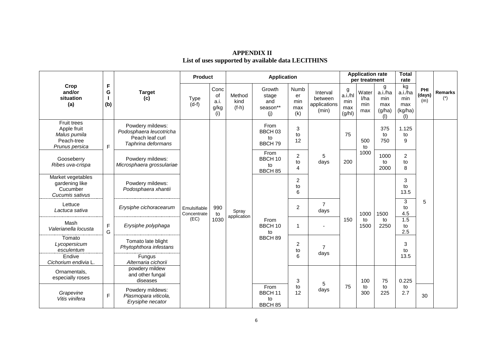|                                                                            | F<br>G<br>(b)    |                                                                                      | <b>Product</b>                      |                                          | <b>Application</b>        |                                                    |                                 |                                              | <b>Application rate</b><br>per treatment |                             |                                             | <b>Total</b><br>rate                         |                      |                         |  |  |  |  |  |  |  |  |  |  |  |  |  |  |  |  |  |   |                        |  |      |      |                         |   |  |
|----------------------------------------------------------------------------|------------------|--------------------------------------------------------------------------------------|-------------------------------------|------------------------------------------|---------------------------|----------------------------------------------------|---------------------------------|----------------------------------------------|------------------------------------------|-----------------------------|---------------------------------------------|----------------------------------------------|----------------------|-------------------------|--|--|--|--|--|--|--|--|--|--|--|--|--|--|--|--|--|---|------------------------|--|------|------|-------------------------|---|--|
| Crop<br>and/or<br>situation<br>(a)                                         |                  | <b>Target</b><br>(c)                                                                 | <b>Type</b><br>$(d-f)$              | Conc<br><b>of</b><br>a.i.<br>g/kg<br>(i) | Method<br>kind<br>$(f-h)$ | Growth<br>stage<br>and<br>season**<br>(j)          | Numb<br>er<br>min<br>max<br>(k) | Interval<br>between<br>applications<br>(min) | g<br>a.i./hl<br>min<br>max<br>(g/hl)     | Water<br>l/ha<br>min<br>max | g<br>a.i./ha<br>min<br>max<br>(g/ha)<br>(1) | kg<br>a.i.ha<br>min<br>max<br>(kg/ha)<br>(1) | PHI<br>(days)<br>(m) | <b>Remarks</b><br>$(*)$ |  |  |  |  |  |  |  |  |  |  |  |  |  |  |  |  |  |   |                        |  |      |      |                         |   |  |
| Fruit trees<br>Apple fruit<br>Malus pumila<br>Peach-tree<br>Prunus persica | $\mathsf F$      | Powdery mildews:<br>Podosphaera leucotricha<br>Peach leaf curl<br>Taphrina deformans | Emulsifiable<br>Concentrate<br>(EC) | 990<br>to<br>1030                        | Spray<br>application      | From<br>BBCH <sub>03</sub><br>to<br>BBCH 79        | 3<br>to<br>12                   |                                              | 75                                       | 500<br>to<br>1000           | 375<br>to<br>750                            | 1.125<br>to<br>9                             |                      |                         |  |  |  |  |  |  |  |  |  |  |  |  |  |  |  |  |  |   |                        |  |      |      |                         |   |  |
| Gooseberry<br>Ribes uva-crispa                                             |                  | Powdery mildews:<br>Microsphaera grossulariae                                        |                                     |                                          |                           | From<br>BBCH 10<br>to<br>BBCH 85                   | $\overline{c}$<br>to<br>4       | 5<br>days                                    | 200                                      |                             | 1000<br>to<br>2000                          | $\overline{2}$<br>to<br>8                    |                      |                         |  |  |  |  |  |  |  |  |  |  |  |  |  |  |  |  |  |   |                        |  |      |      |                         |   |  |
| Market vegetables<br>gardening like<br>Cucumber<br>Cucumis sativus         |                  | Powdery mildews:<br>Podosphaera xhantii                                              |                                     |                                          |                           |                                                    | 2<br>to<br>6                    |                                              |                                          |                             |                                             | 3<br>to<br>13.5                              |                      |                         |  |  |  |  |  |  |  |  |  |  |  |  |  |  |  |  |  |   |                        |  |      |      |                         |   |  |
| Lettuce<br>Lactuca sativa                                                  |                  | Erysiphe cichoracearum                                                               |                                     |                                          |                           |                                                    |                                 |                                              |                                          |                             |                                             |                                              |                      |                         |  |  |  |  |  |  |  |  |  |  |  |  |  |  |  |  |  | 2 | $\overline{7}$<br>days |  | 1000 | 1500 | $\sqrt{3}$<br>to<br>4.5 | 5 |  |
| Mash<br>Valerianella locusta                                               | $\mathsf F$<br>G | Erysiphe polyphaga                                                                   |                                     |                                          |                           | From<br>BBCH 10<br>to                              | 1                               |                                              | 150                                      | to<br>1500                  | to<br>2250                                  | 1.5<br>to<br>2.5                             |                      |                         |  |  |  |  |  |  |  |  |  |  |  |  |  |  |  |  |  |   |                        |  |      |      |                         |   |  |
| Tomato<br>Lycopersicum<br>esculentum                                       |                  | Tomato late blight<br>Phytophthora infestans                                         |                                     |                                          |                           |                                                    | BBCH 89                         | 2<br>to                                      | 7                                        |                             |                                             |                                              | 3<br>to              |                         |  |  |  |  |  |  |  |  |  |  |  |  |  |  |  |  |  |   |                        |  |      |      |                         |   |  |
| Endive<br>Cichorium endivia L.                                             |                  | Fungus<br>Alternaria cichorii                                                        |                                     |                                          |                           |                                                    | 6                               | days                                         |                                          |                             |                                             | 13.5                                         |                      |                         |  |  |  |  |  |  |  |  |  |  |  |  |  |  |  |  |  |   |                        |  |      |      |                         |   |  |
| Ornamentals,<br>especially roses                                           |                  | powdery mildew<br>and other fungal<br>diseases                                       |                                     |                                          |                           |                                                    |                                 | 3                                            | 5                                        |                             | 100                                         | 75                                           | 0.225                |                         |  |  |  |  |  |  |  |  |  |  |  |  |  |  |  |  |  |   |                        |  |      |      |                         |   |  |
| Grapevine<br>Vitis vinifera                                                | F                | Powdery mildews:<br>Plasmopara viticola,<br>Erysiphe necator                         |                                     |                                          |                           | From<br><b>BBCH 11</b><br>to<br>BBCH <sub>85</sub> | to<br>12                        | days                                         | 75                                       | to<br>300                   | to<br>225                                   | to<br>2.7                                    | 30                   |                         |  |  |  |  |  |  |  |  |  |  |  |  |  |  |  |  |  |   |                        |  |      |      |                         |   |  |

# **APPENDIX II List of uses supported by available data LECITHINS**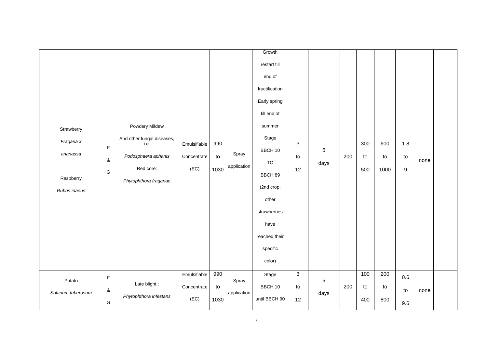|                   |               |                                    |              |      |             | Growth         |                           |      |     |     |      |         |      |  |
|-------------------|---------------|------------------------------------|--------------|------|-------------|----------------|---------------------------|------|-----|-----|------|---------|------|--|
|                   |               |                                    |              |      |             | restart till   |                           |      |     |     |      |         |      |  |
|                   |               |                                    |              |      |             | end of         |                           |      |     |     |      |         |      |  |
|                   |               |                                    |              |      |             | fructification |                           |      |     |     |      |         |      |  |
|                   |               |                                    |              |      |             | Early spring   |                           |      |     |     |      |         |      |  |
|                   |               |                                    |              |      |             | till end of    |                           |      |     |     |      |         |      |  |
| Strawberry        |               | Powdery Mildew                     |              |      |             | summer         |                           |      |     |     |      |         |      |  |
| Fragaria x        |               | And other fungal diseases,<br>i.e. | Emulsifiable | 990  |             | Stage          | $\ensuremath{\mathsf{3}}$ |      |     | 300 | 600  | 1.8     |      |  |
| ananassa          | $\mathsf F$   |                                    |              |      | Spray       | BBCH 10        |                           | 5    |     |     |      |         |      |  |
|                   | $\&$          | Podosphaera aphanis                | Concentrate  | to   | application | TO             | to                        | days | 200 | to  | to   | to      | none |  |
| Raspberry         | ${\mathsf G}$ | Red core:                          | (EC)         | 1030 |             | BBCH 89        | 12                        |      |     | 500 | 1000 | 9       |      |  |
|                   |               | Phytophthora fragariae             |              |      |             | (2nd crop,     |                           |      |     |     |      |         |      |  |
| Rubus idaeus      |               |                                    |              |      |             | other          |                           |      |     |     |      |         |      |  |
|                   |               |                                    |              |      |             | strawberries   |                           |      |     |     |      |         |      |  |
|                   |               |                                    |              |      |             | have           |                           |      |     |     |      |         |      |  |
|                   |               |                                    |              |      |             | reached their  |                           |      |     |     |      |         |      |  |
|                   |               |                                    |              |      |             |                |                           |      |     |     |      |         |      |  |
|                   |               |                                    |              |      |             | specific       |                           |      |     |     |      |         |      |  |
|                   |               |                                    |              |      |             | color)         |                           |      |     |     |      |         |      |  |
| Potato            | F             |                                    | Emulsifiable | 990  | Spray       | Stage          | $\overline{3}$            | 5    |     | 100 | 200  | $0.6\,$ |      |  |
| Solanum tuberosum | $\&$          | Late blight :                      | Concentrate  | to   | application | BBCH 10        | to                        | days | 200 | to  | to   | to      | none |  |
|                   | G             | Phytophthora infestans             | (EC)         | 1030 |             | until BBCH 90  | 12                        |      |     | 400 | 800  | 9.6     |      |  |
|                   |               |                                    |              |      |             |                |                           |      |     |     |      |         |      |  |